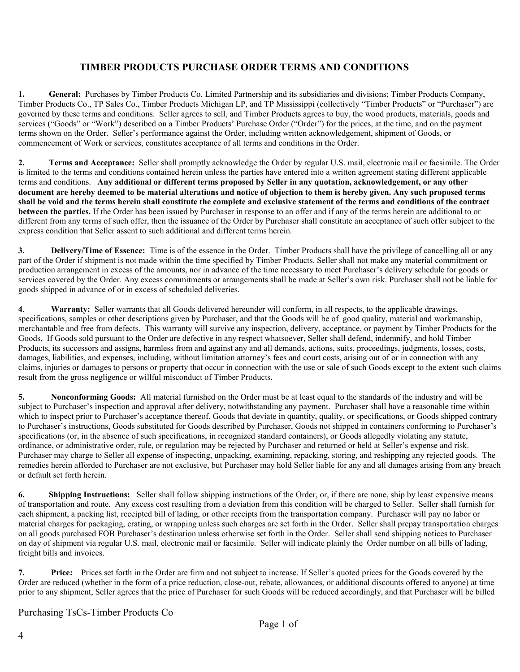## **TIMBER PRODUCTS PURCHASE ORDER TERMS AND CONDITIONS**

**1. General:** Purchases by Timber Products Co. Limited Partnership and its subsidiaries and divisions; Timber Products Company, Timber Products Co., TP Sales Co., Timber Products Michigan LP, and TP Mississippi (collectively "Timber Products" or "Purchaser") are governed by these terms and conditions. Seller agrees to sell, and Timber Products agrees to buy, the wood products, materials, goods and services ("Goods" or "Work") described on a Timber Products' Purchase Order ("Order") for the prices, at the time, and on the payment terms shown on the Order. Seller's performance against the Order, including written acknowledgement, shipment of Goods, or commencement of Work or services, constitutes acceptance of all terms and conditions in the Order.

**2. Terms and Acceptance:** Seller shall promptly acknowledge the Order by regular U.S. mail, electronic mail or facsimile. The Order is limited to the terms and conditions contained herein unless the parties have entered into a written agreement stating different applicable terms and conditions. **Any additional or different terms proposed by Seller in any quotation, acknowledgement, or any other document are hereby deemed to be material alterations and notice of objection to them is hereby given. Any such proposed terms shall be void and the terms herein shall constitute the complete and exclusive statement of the terms and conditions of the contract between the parties.** If the Order has been issued by Purchaser in response to an offer and if any of the terms herein are additional to or different from any terms of such offer, then the issuance of the Order by Purchaser shall constitute an acceptance of such offer subject to the express condition that Seller assent to such additional and different terms herein.

**3. Delivery/Time of Essence:** Time is of the essence in the Order. Timber Products shall have the privilege of cancelling all or any part of the Order if shipment is not made within the time specified by Timber Products. Seller shall not make any material commitment or production arrangement in excess of the amounts, nor in advance of the time necessary to meet Purchaser's delivery schedule for goods or services covered by the Order. Any excess commitments or arrangements shall be made at Seller's own risk. Purchaser shall not be liable for goods shipped in advance of or in excess of scheduled deliveries.

**4**. **Warranty:** Seller warrants that all Goods delivered hereunder will conform, in all respects, to the applicable drawings, specifications, samples or other descriptions given by Purchaser, and that the Goods will be of good quality, material and workmanship, merchantable and free from defects. This warranty will survive any inspection, delivery, acceptance, or payment by Timber Products for the Goods. If Goods sold pursuant to the Order are defective in any respect whatsoever, Seller shall defend, indemnify, and hold Timber Products, its successors and assigns, harmless from and against any and all demands, actions, suits, proceedings, judgments, losses, costs, damages, liabilities, and expenses, including, without limitation attorney's fees and court costs, arising out of or in connection with any claims, injuries or damages to persons or property that occur in connection with the use or sale of such Goods except to the extent such claims result from the gross negligence or willful misconduct of Timber Products.

**5. Nonconforming Goods:** All material furnished on the Order must be at least equal to the standards of the industry and will be subject to Purchaser's inspection and approval after delivery, notwithstanding any payment. Purchaser shall have a reasonable time within which to inspect prior to Purchaser's acceptance thereof. Goods that deviate in quantity, quality, or specifications, or Goods shipped contrary to Purchaser's instructions, Goods substituted for Goods described by Purchaser, Goods not shipped in containers conforming to Purchaser's specifications (or, in the absence of such specifications, in recognized standard containers), or Goods allegedly violating any statute, ordinance, or administrative order, rule, or regulation may be rejected by Purchaser and returned or held at Seller's expense and risk. Purchaser may charge to Seller all expense of inspecting, unpacking, examining, repacking, storing, and reshipping any rejected goods. The remedies herein afforded to Purchaser are not exclusive, but Purchaser may hold Seller liable for any and all damages arising from any breach or default set forth herein.

**6.** Shipping Instructions: Seller shall follow shipping instructions of the Order, or, if there are none, ship by least expensive means of transportation and route. Any excess cost resulting from a deviation from this condition will be charged to Seller. Seller shall furnish for each shipment, a packing list, receipted bill of lading, or other receipts from the transportation company. Purchaser will pay no labor or material charges for packaging, crating, or wrapping unless such charges are set forth in the Order. Seller shall prepay transportation charges on all goods purchased FOB Purchaser's destination unless otherwise set forth in the Order. Seller shall send shipping notices to Purchaser on day of shipment via regular U.S. mail, electronic mail or facsimile. Seller will indicate plainly the Order number on all bills of lading, freight bills and invoices.

**7. Price:** Prices set forth in the Order are firm and not subject to increase. If Seller's quoted prices for the Goods covered by the Order are reduced (whether in the form of a price reduction, close-out, rebate, allowances, or additional discounts offered to anyone) at time prior to any shipment, Seller agrees that the price of Purchaser for such Goods will be reduced accordingly, and that Purchaser will be billed

Purchasing TsCs-Timber Products Co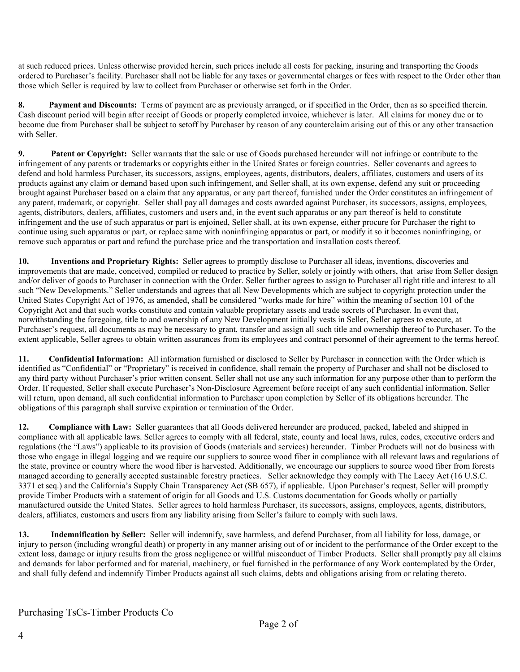at such reduced prices. Unless otherwise provided herein, such prices include all costs for packing, insuring and transporting the Goods ordered to Purchaser's facility. Purchaser shall not be liable for any taxes or governmental charges or fees with respect to the Order other than those which Seller is required by law to collect from Purchaser or otherwise set forth in the Order.

**8. Payment and Discounts:** Terms of payment are as previously arranged, or if specified in the Order, then as so specified therein. Cash discount period will begin after receipt of Goods or properly completed invoice, whichever is later. All claims for money due or to become due from Purchaser shall be subject to setoff by Purchaser by reason of any counterclaim arising out of this or any other transaction with Seller.

**9.** Patent or Copyright: Seller warrants that the sale or use of Goods purchased hereunder will not infringe or contribute to the infringement of any patents or trademarks or copyrights either in the United States or foreign countries. Seller covenants and agrees to defend and hold harmless Purchaser, its successors, assigns, employees, agents, distributors, dealers, affiliates, customers and users of its products against any claim or demand based upon such infringement, and Seller shall, at its own expense, defend any suit or proceeding brought against Purchaser based on a claim that any apparatus, or any part thereof, furnished under the Order constitutes an infringement of any patent, trademark, or copyright. Seller shall pay all damages and costs awarded against Purchaser, its successors, assigns, employees, agents, distributors, dealers, affiliates, customers and users and, in the event such apparatus or any part thereof is held to constitute infringement and the use of such apparatus or part is enjoined, Seller shall, at its own expense, either procure for Purchaser the right to continue using such apparatus or part, or replace same with noninfringing apparatus or part, or modify it so it becomes noninfringing, or remove such apparatus or part and refund the purchase price and the transportation and installation costs thereof.

**10. Inventions and Proprietary Rights:** Seller agrees to promptly disclose to Purchaser all ideas, inventions, discoveries and improvements that are made, conceived, compiled or reduced to practice by Seller, solely or jointly with others, that arise from Seller design and/or deliver of goods to Purchaser in connection with the Order. Seller further agrees to assign to Purchaser all right title and interest to all such "New Developments." Seller understands and agrees that all New Developments which are subject to copyright protection under the United States Copyright Act of 1976, as amended, shall be considered "works made for hire" within the meaning of section 101 of the Copyright Act and that such works constitute and contain valuable proprietary assets and trade secrets of Purchaser. In event that, notwithstanding the foregoing, title to and ownership of any New Development initially vests in Seller, Seller agrees to execute, at Purchaser's request, all documents as may be necessary to grant, transfer and assign all such title and ownership thereof to Purchaser. To the extent applicable, Seller agrees to obtain written assurances from its employees and contract personnel of their agreement to the terms hereof.

**11. Confidential Information:** All information furnished or disclosed to Seller by Purchaser in connection with the Order which is identified as "Confidential" or "Proprietary" is received in confidence, shall remain the property of Purchaser and shall not be disclosed to any third party without Purchaser's prior written consent. Seller shall not use any such information for any purpose other than to perform the Order. If requested, Seller shall execute Purchaser's Non-Disclosure Agreement before receipt of any such confidential information. Seller will return, upon demand, all such confidential information to Purchaser upon completion by Seller of its obligations hereunder. The obligations of this paragraph shall survive expiration or termination of the Order.

**12. Compliance with Law:** Seller guarantees that all Goods delivered hereunder are produced, packed, labeled and shipped in compliance with all applicable laws. Seller agrees to comply with all federal, state, county and local laws, rules, codes, executive orders and regulations (the "Laws") applicable to its provision of Goods (materials and services) hereunder. Timber Products will not do business with those who engage in illegal logging and we require our suppliers to source wood fiber in compliance with all relevant laws and regulations of the state, province or country where the wood fiber is harvested. Additionally, we encourage our suppliers to source wood fiber from forests managed according to generally accepted sustainable forestry practices. Seller acknowledge they comply with The Lacey Act (16 U.S.C. 3371 et seq.) and the California's Supply Chain Transparency Act (SB 657), if applicable. Upon Purchaser's request, Seller will promptly provide Timber Products with a statement of origin for all Goods and U.S. Customs documentation for Goods wholly or partially manufactured outside the United States. Seller agrees to hold harmless Purchaser, its successors, assigns, employees, agents, distributors, dealers, affiliates, customers and users from any liability arising from Seller's failure to comply with such laws.

**13. Indemnification by Seller:** Seller will indemnify, save harmless, and defend Purchaser, from all liability for loss, damage, or injury to person (including wrongful death) or property in any manner arising out of or incident to the performance of the Order except to the extent loss, damage or injury results from the gross negligence or willful misconduct of Timber Products. Seller shall promptly pay all claims and demands for labor performed and for material, machinery, or fuel furnished in the performance of any Work contemplated by the Order, and shall fully defend and indemnify Timber Products against all such claims, debts and obligations arising from or relating thereto.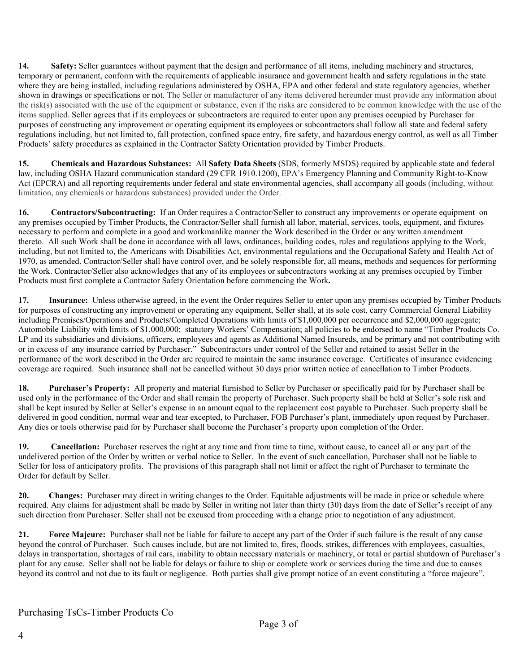14. Safety: Seller guarantees without payment that the design and performance of all items, including machinery and structures, temporary or permanent, conform with the requirements of applicable insurance and government health and safety regulations in the state where they are being installed, including regulations administered by OSHA, EPA and other federal and state regulatory agencies, whether shown in drawings or specifications or not. The Seller or manufacturer of any items delivered hereunder must provide any information about the risk(s) associated with the use of the equipment or substance, even if the risks are considered to be common knowledge with the use of the items supplied. Seller agrees that if its employees or subcontractors are required to enter upon any premises occupied by Purchaser for purposes of constructing any improvement or operating equipment its employees or subcontractors shall follow all state and federal safety regulations including, but not limited to, fall protection, confined space entry, fire safety, and hazardous energy control, as well as all Timber Products' safety procedures as explained in the Contractor Safety Orientation provided by Timber Products.

**15. Chemicals and Hazardous Substances:** All **Safety Data Sheets** (SDS, formerly MSDS) required by applicable state and federal law, including OSHA Hazard communication standard (29 CFR 1910.1200), EPA's Emergency Planning and Community Right-to-Know Act (EPCRA) and all reporting requirements under federal and state environmental agencies, shall accompany all goods (including, without limitation, any chemicals or hazardous substances) provided under the Order.

**16. Contractors/Subcontracting:** If an Order requires a Contractor/Seller to construct any improvements or operate equipment on any premises occupied by Timber Products, the Contractor/Seller shall furnish all labor, material, services, tools, equipment, and fixtures necessary to perform and complete in a good and workmanlike manner the Work described in the Order or any written amendment thereto. All such Work shall be done in accordance with all laws, ordinances, building codes, rules and regulations applying to the Work, including, but not limited to, the Americans with Disabilities Act, environmental regulations and the Occupational Safety and Health Act of 1970, as amended. Contractor/Seller shall have control over, and be solely responsible for, all means, methods and sequences for performing the Work. Contractor/Seller also acknowledges that any of its employees or subcontractors working at any premises occupied by Timber Products must first complete a Contractor Safety Orientation before commencing the Work**.** 

**17. Insurance:** Unless otherwise agreed, in the event the Order requires Seller to enter upon any premises occupied by Timber Products for purposes of constructing any improvement or operating any equipment, Seller shall, at its sole cost, carry Commercial General Liability including Premises/Operations and Products/Completed Operations with limits of \$1,000,000 per occurrence and \$2,000,000 aggregate; Automobile Liability with limits of \$1,000,000; statutory Workers' Compensation; all policies to be endorsed to name "Timber Products Co. LP and its subsidiaries and divisions, officers, employees and agents as Additional Named Insureds, and be primary and not contributing with or in excess of any insurance carried by Purchaser." Subcontractors under control of the Seller and retained to assist Seller in the performance of the work described in the Order are required to maintain the same insurance coverage. Certificates of insurance evidencing coverage are required. Such insurance shall not be cancelled without 30 days prior written notice of cancellation to Timber Products.

**18. Purchaser's Property:** All property and material furnished to Seller by Purchaser or specifically paid for by Purchaser shall be used only in the performance of the Order and shall remain the property of Purchaser. Such property shall be held at Seller's sole risk and shall be kept insured by Seller at Seller's expense in an amount equal to the replacement cost payable to Purchaser. Such property shall be delivered in good condition, normal wear and tear excepted, to Purchaser, FOB Purchaser's plant, immediately upon request by Purchaser. Any dies or tools otherwise paid for by Purchaser shall become the Purchaser's property upon completion of the Order.

**19.** Cancellation: Purchaser reserves the right at any time and from time to time, without cause, to cancel all or any part of the undelivered portion of the Order by written or verbal notice to Seller. In the event of such cancellation, Purchaser shall not be liable to Seller for loss of anticipatory profits. The provisions of this paragraph shall not limit or affect the right of Purchaser to terminate the Order for default by Seller.

**20. Changes:** Purchaser may direct in writing changes to the Order. Equitable adjustments will be made in price or schedule where required. Any claims for adjustment shall be made by Seller in writing not later than thirty (30) days from the date of Seller's receipt of any such direction from Purchaser. Seller shall not be excused from proceeding with a change prior to negotiation of any adjustment.

**21. Force Majeure:** Purchaser shall not be liable for failure to accept any part of the Order if such failure is the result of any cause beyond the control of Purchaser. Such causes include, but are not limited to, fires, floods, strikes, differences with employees, casualties, delays in transportation, shortages of rail cars, inability to obtain necessary materials or machinery, or total or partial shutdown of Purchaser's plant for any cause. Seller shall not be liable for delays or failure to ship or complete work or services during the time and due to causes beyond its control and not due to its fault or negligence. Both parties shall give prompt notice of an event constituting a "force majeure".